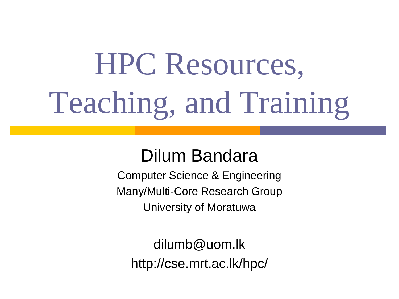# HPC Resources, Teaching, and Training

### Dilum Bandara

Computer Science & Engineering Many/Multi-Core Research Group University of Moratuwa

dilumb@uom.lk http://cse.mrt.ac.lk/hpc/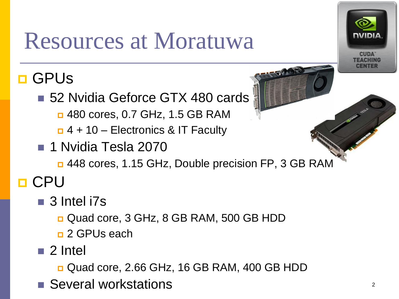# Resources at Moratuwa

### **D** GPUS

- 52 Nvidia Geforce GTX 480 cards
	- □ 480 cores, 0.7 GHz, 1.5 GB RAM
	- $\Box$  4 + 10 Electronics & IT Faculty
- **1 Nvidia Tesla 2070** 
	- 448 cores, 1.15 GHz, Double precision FP, 3 GB RAM

### **O** CPU

- 3 Intel i7s
	- Quad core, 3 GHz, 8 GB RAM, 500 GB HDD
	- **<u>n</u>** 2 GPUs each
- 2 Intel
	- Quad core, 2.66 GHz, 16 GB RAM, 400 GB HDD
- Several workstations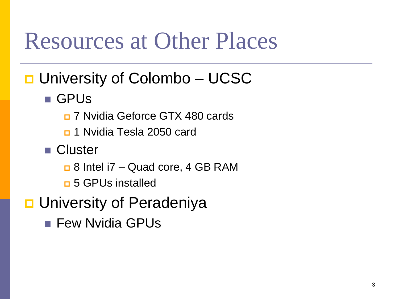### Resources at Other Places

- D University of Colombo UCSC
	- GPUs
		- 7 Nvidia Geforce GTX 480 cards
		- n 1 Nvidia Tesla 2050 card
	- Cluster
		- 8 Intel i7 Quad core, 4 GB RAM
		- n 5 GPUs installed
- **<u>n</u>** University of Peradeniya
	- **Few Nvidia GPUs**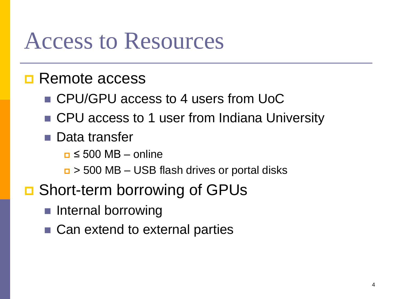### Access to Resources

#### **Remote access**

- CPU/GPU access to 4 users from UoC
- CPU access to 1 user from Indiana University
- **Data transfer** 
	- $\Box \leq 500 \text{ MB} \text{online}$
	- $\Box$  > 500 MB USB flash drives or portal disks
- **□** Short-term borrowing of GPUs
	- **Internal borrowing**
	- Can extend to external parties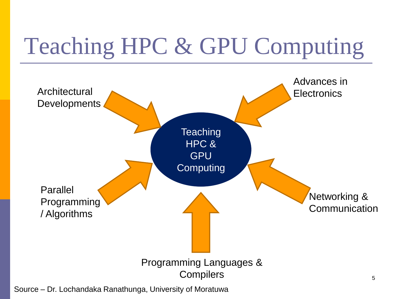# Teaching HPC & GPU Computing



Source – Dr. Lochandaka Ranathunga, University of Moratuwa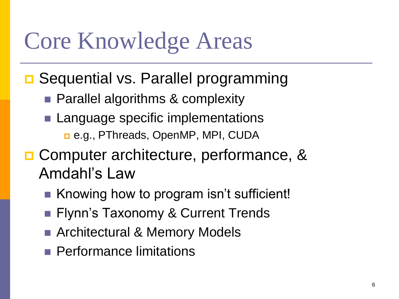# Core Knowledge Areas

- **□ Sequential vs. Parallel programming** 
	- **Parallel algorithms & complexity**
	- Language specific implementations e.g., PThreads, OpenMP, MPI, CUDA
- **□ Computer architecture, performance, &** Amdahl's Law
	- Knowing how to program isn't sufficient!
	- **Filynn's Taxonomy & Current Trends**
	- Architectural & Memory Models
	- **Performance limitations**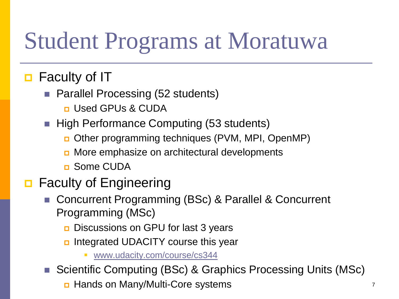# Student Programs at Moratuwa

### **D** Faculty of IT

- Parallel Processing (52 students)
	- **<u>n</u>** Used GPUs & CUDA
- High Performance Computing (53 students)
	- Other programming techniques (PVM, MPI, OpenMP)
	- **D** More emphasize on architectural developments
	- **n** Some CUDA

#### **D** Faculty of Engineering

- Concurrent Programming (BSc) & Parallel & Concurrent Programming (MSc)
	- **D** Discussions on GPU for last 3 years
	- Integrated UDACITY course this year
		- [www.udacity.com/course/cs344](http://www.udacity.com/course/cs344)
- Scientific Computing (BSc) & Graphics Processing Units (MSc)
	- **<u>n</u>** Hands on Many/Multi-Core systems 7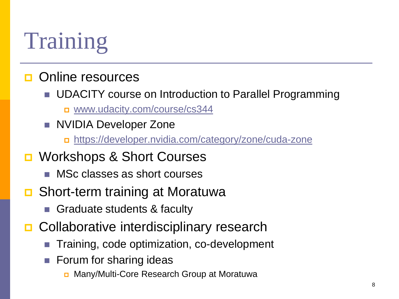# Training

#### **D** Online resources

- **UDACITY** course on Introduction to Parallel Programming
	- [www.udacity.com/course/cs344](http://www.udacity.com/course/cs344)
- **NVIDIA Developer Zone** 
	- <https://developer.nvidia.com/category/zone/cuda-zone>
- **□** Workshops & Short Courses
	- MSc classes as short courses
- **□** Short-term training at Moratuwa
	- Graduate students & faculty
- **□** Collaborative interdisciplinary research
	- Training, code optimization, co-development
	- Forum for sharing ideas
		- Many/Multi-Core Research Group at Moratuwa